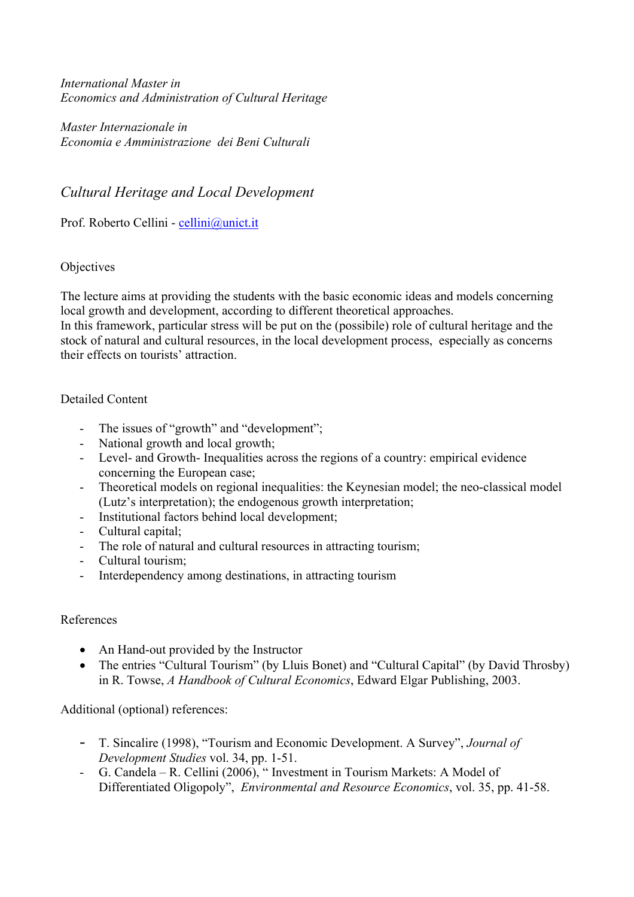*International Master in Economics and Administration of Cultural Heritage* 

*Master Internazionale in Economia e Amministrazione dei Beni Culturali* 

#### *Cultural Heritage and Local Development*

Prof. Roberto Cellini - cellini@unict.it

#### **Objectives**

The lecture aims at providing the students with the basic economic ideas and models concerning local growth and development, according to different theoretical approaches.

In this framework, particular stress will be put on the (possibile) role of cultural heritage and the stock of natural and cultural resources, in the local development process, especially as concerns their effects on tourists' attraction.

#### Detailed Content

- The issues of "growth" and "development";
- National growth and local growth;
- Level- and Growth- Inequalities across the regions of a country: empirical evidence concerning the European case;
- Theoretical models on regional inequalities: the Keynesian model; the neo-classical model (Lutz's interpretation); the endogenous growth interpretation;
- Institutional factors behind local development;
- Cultural capital;
- The role of natural and cultural resources in attracting tourism;
- Cultural tourism;
- Interdependency among destinations, in attracting tourism

#### References

- An Hand-out provided by the Instructor
- The entries "Cultural Tourism" (by Lluis Bonet) and "Cultural Capital" (by David Throsby) in R. Towse, *A Handbook of Cultural Economics*, Edward Elgar Publishing, 2003.

Additional (optional) references:

- T. Sincalire (1998), "Tourism and Economic Development. A Survey", *Journal of Development Studies* vol. 34, pp. 1-51.
- G. Candela R. Cellini (2006), " Investment in Tourism Markets: A Model of Differentiated Oligopoly", *Environmental and Resource Economics*, vol. 35, pp. 41-58.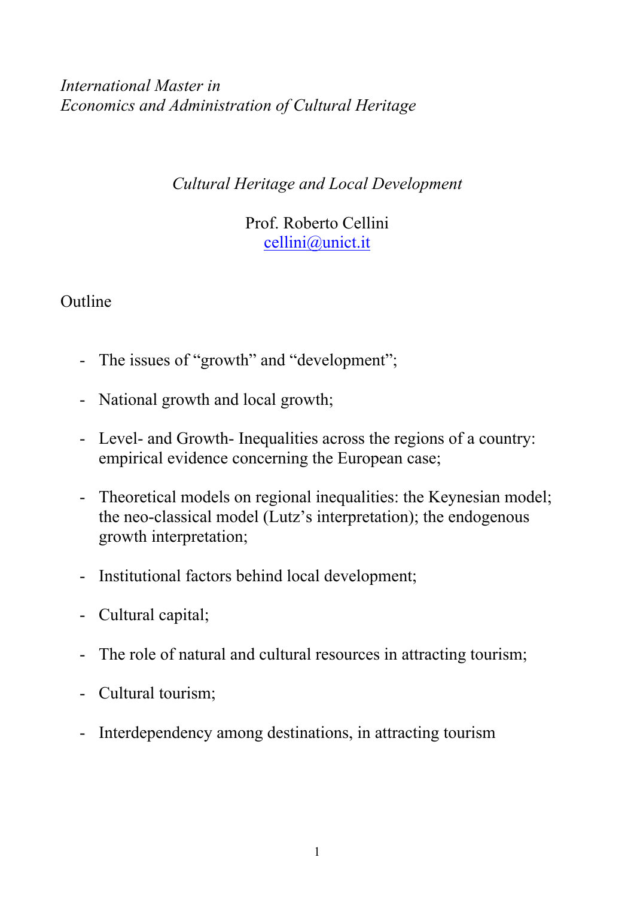*International Master in Economics and Administration of Cultural Heritage* 

*Cultural Heritage and Local Development* 

Prof. Roberto Cellini cellini@unict.it

**Outline** 

- The issues of "growth" and "development";
- National growth and local growth;
- Level- and Growth- Inequalities across the regions of a country: empirical evidence concerning the European case;
- Theoretical models on regional inequalities: the Keynesian model; the neo-classical model (Lutz's interpretation); the endogenous growth interpretation;
- Institutional factors behind local development;
- Cultural capital;
- The role of natural and cultural resources in attracting tourism;
- Cultural tourism;
- Interdependency among destinations, in attracting tourism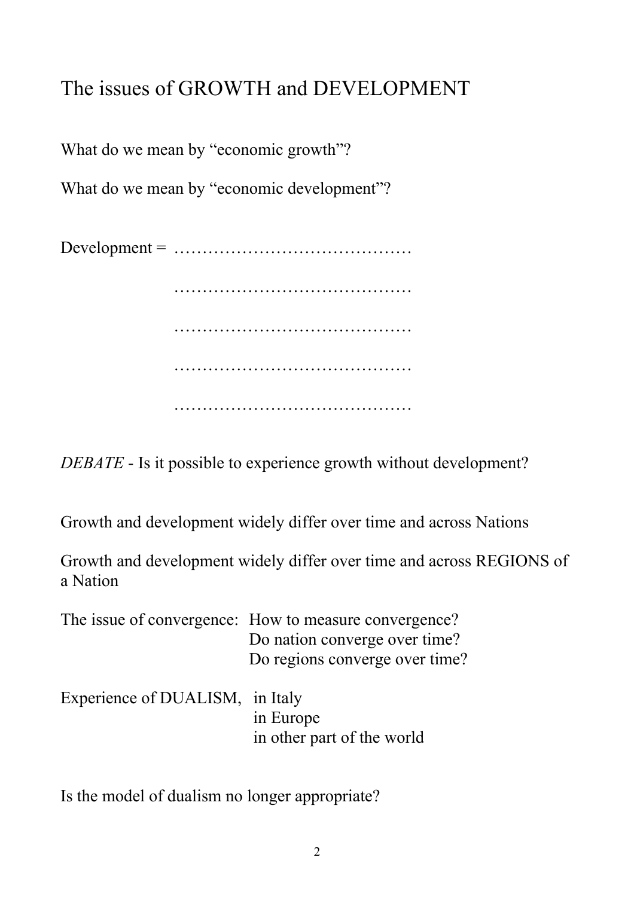# The issues of GROWTH and DEVELOPMENT

What do we mean by "economic growth"?

What do we mean by "economic development"?

Development = …………………………………… …………………………………… …………………………………… …………………………………… ……………………………………

*DEBATE* - Is it possible to experience growth without development?

Growth and development widely differ over time and across Nations

Growth and development widely differ over time and across REGIONS of a Nation

|                                 | The issue of convergence: How to measure convergence?<br>Do nation converge over time?<br>Do regions converge over time? |
|---------------------------------|--------------------------------------------------------------------------------------------------------------------------|
| Experience of DUALISM, in Italy | in Europe<br>in other part of the world                                                                                  |

Is the model of dualism no longer appropriate?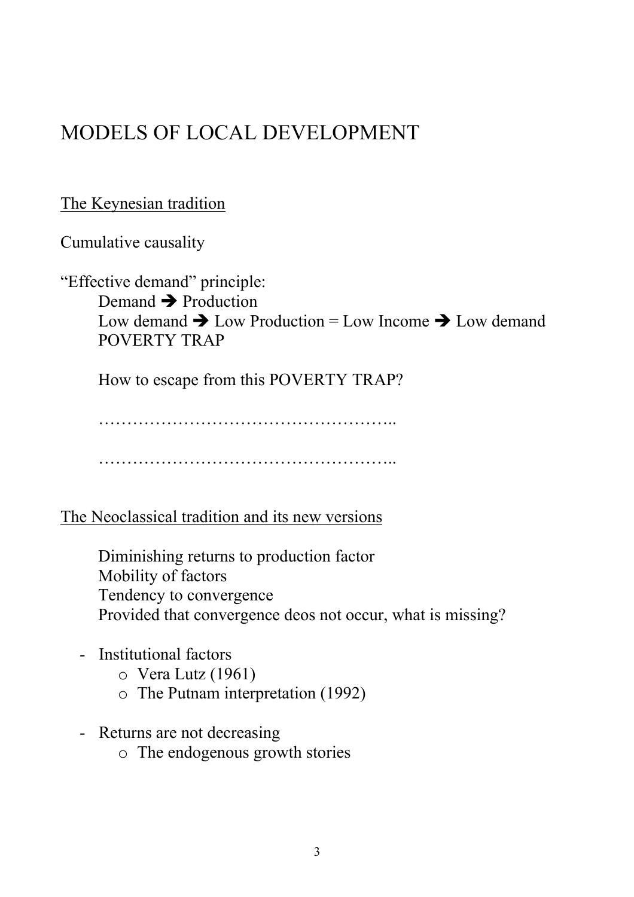# MODELS OF LOCAL DEVELOPMENT

### The Keynesian tradition

Cumulative causality

"Effective demand" principle: Demand  $\rightarrow$  Production Low demand  $\rightarrow$  Low Production = Low Income  $\rightarrow$  Low demand POVERTY TRAP

How to escape from this POVERTY TRAP?

…………………………………………….. ……………………………………………..

The Neoclassical tradition and its new versions

 Diminishing returns to production factor Mobility of factors Tendency to convergence Provided that convergence deos not occur, what is missing?

- Institutional factors
	- o Vera Lutz (1961)
	- o The Putnam interpretation (1992)
- Returns are not decreasing
	- o The endogenous growth stories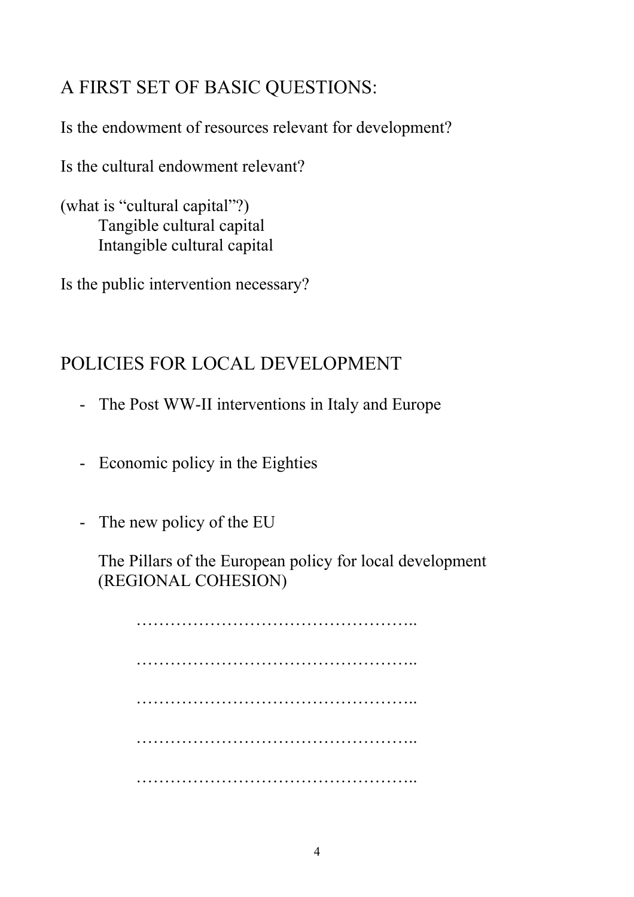## A FIRST SET OF BASIC QUESTIONS:

Is the endowment of resources relevant for development?

Is the cultural endowment relevant?

(what is "cultural capital"?) Tangible cultural capital Intangible cultural capital

Is the public intervention necessary?

## POLICIES FOR LOCAL DEVELOPMENT

- The Post WW-II interventions in Italy and Europe
- Economic policy in the Eighties
- The new policy of the EU

The Pillars of the European policy for local development (REGIONAL COHESION)

 ………………………………………….. ………………………………………….. ………………………………………….. ………………………………………….. …………………………………………..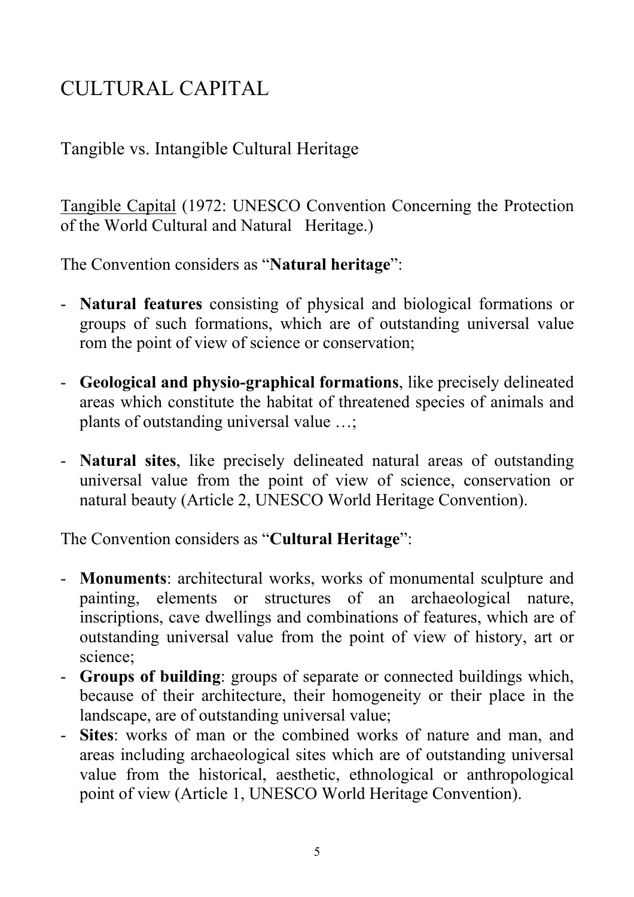# CULTURAL CAPITAL

### Tangible vs. Intangible Cultural Heritage

Tangible Capital (1972: UNESCO Convention Concerning the Protection of the World Cultural and Natural Heritage.)

The Convention considers as "**Natural heritage**":

- **Natural features** consisting of physical and biological formations or groups of such formations, which are of outstanding universal value rom the point of view of science or conservation;
- **Geological and physio-graphical formations**, like precisely delineated areas which constitute the habitat of threatened species of animals and plants of outstanding universal value …;
- **Natural sites**, like precisely delineated natural areas of outstanding universal value from the point of view of science, conservation or natural beauty (Article 2, UNESCO World Heritage Convention).

The Convention considers as "**Cultural Heritage**":

- **Monuments**: architectural works, works of monumental sculpture and painting, elements or structures of an archaeological nature, inscriptions, cave dwellings and combinations of features, which are of outstanding universal value from the point of view of history, art or science;
- **Groups of building**: groups of separate or connected buildings which, because of their architecture, their homogeneity or their place in the landscape, are of outstanding universal value;
- **Sites**: works of man or the combined works of nature and man, and areas including archaeological sites which are of outstanding universal value from the historical, aesthetic, ethnological or anthropological point of view (Article 1, UNESCO World Heritage Convention).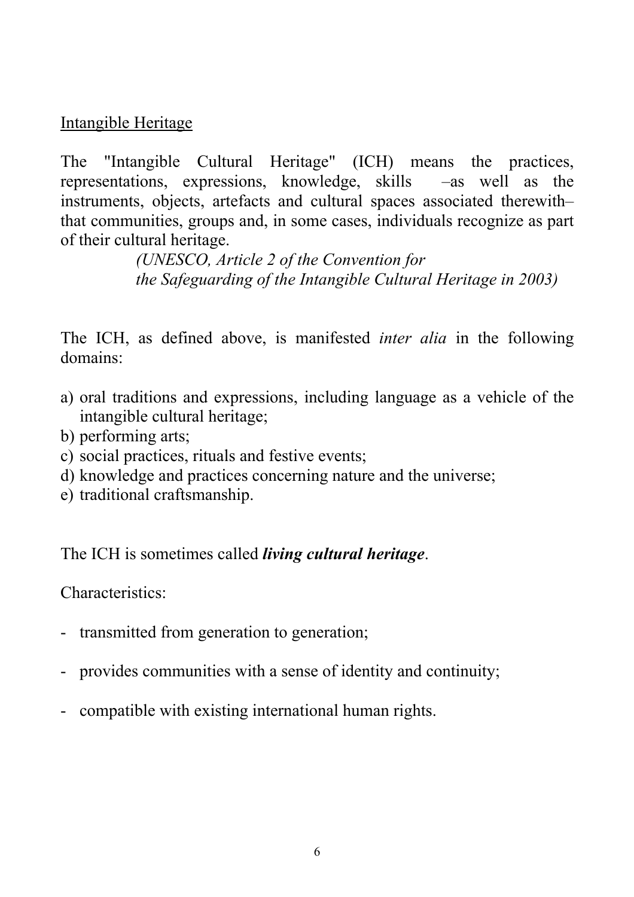Intangible Heritage

The "Intangible Cultural Heritage" (ICH) means the practices, representations, expressions, knowledge, skills –as well as the instruments, objects, artefacts and cultural spaces associated therewith– that communities, groups and, in some cases, individuals recognize as part of their cultural heritage.

> *(UNESCO, Article 2 of the Convention for the Safeguarding of the Intangible Cultural Heritage in 2003)*

The ICH, as defined above, is manifested *inter alia* in the following domains:

- a) oral traditions and expressions, including language as a vehicle of the intangible cultural heritage;
- b) performing arts;
- c) social practices, rituals and festive events;
- d) knowledge and practices concerning nature and the universe;
- e) traditional craftsmanship.

The ICH is sometimes called *living cultural heritage*.

Characteristics:

- transmitted from generation to generation;
- provides communities with a sense of identity and continuity;
- compatible with existing international human rights.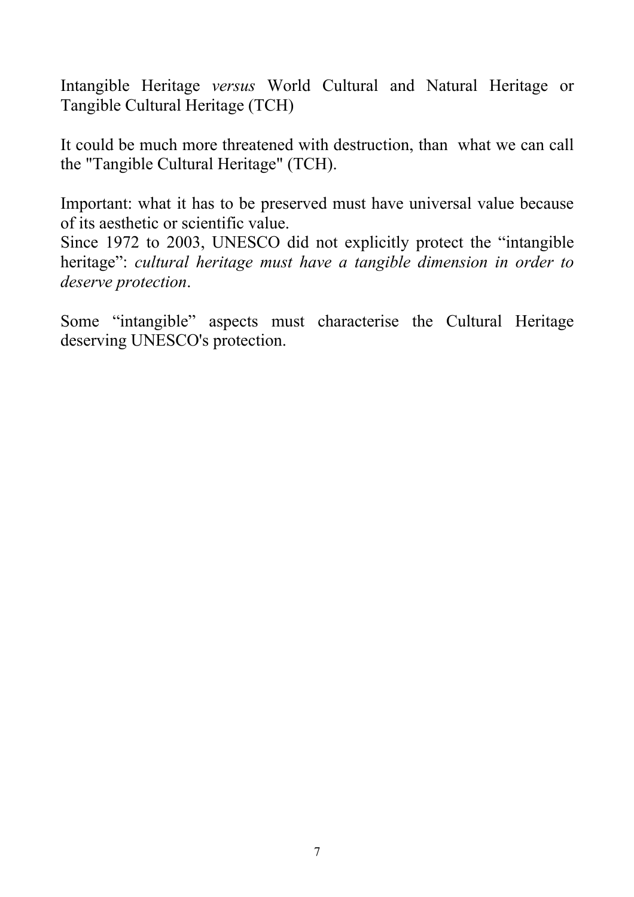Intangible Heritage *versus* World Cultural and Natural Heritage or Tangible Cultural Heritage (TCH)

It could be much more threatened with destruction, than what we can call the "Tangible Cultural Heritage" (TCH).

Important: what it has to be preserved must have universal value because of its aesthetic or scientific value.

Since 1972 to 2003, UNESCO did not explicitly protect the "intangible heritage": *cultural heritage must have a tangible dimension in order to deserve protection*.

Some "intangible" aspects must characterise the Cultural Heritage deserving UNESCO's protection.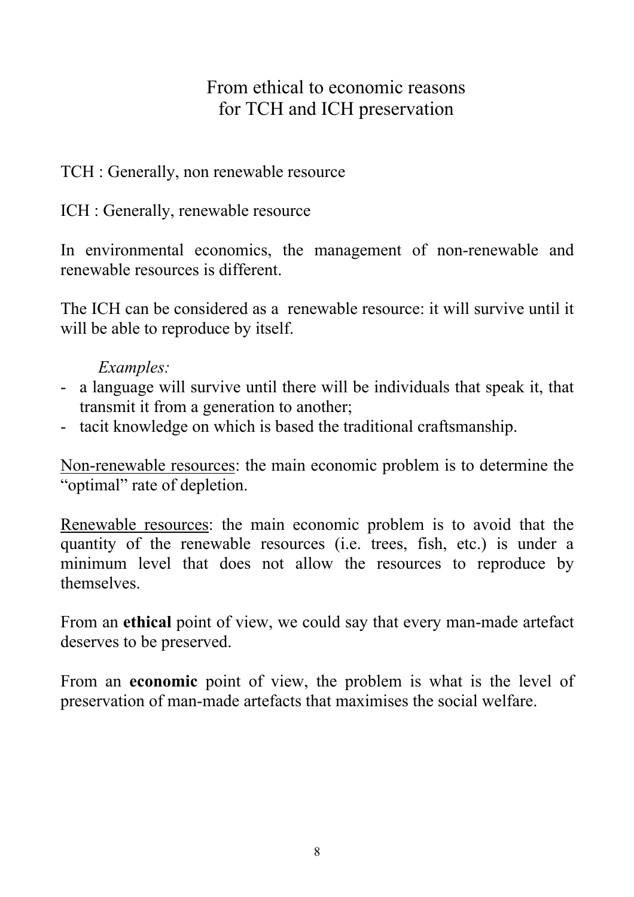### From ethical to economic reasons for TCH and ICH preservation

### TCH : Generally, non renewable resource

ICH : Generally, renewable resource

In environmental economics, the management of non-renewable and renewable resources is different.

The ICH can be considered as a renewable resource: it will survive until it will be able to reproduce by itself.

### *Examples:*

- a language will survive until there will be individuals that speak it, that transmit it from a generation to another;
- tacit knowledge on which is based the traditional craftsmanship.

Non-renewable resources: the main economic problem is to determine the "optimal" rate of depletion.

Renewable resources: the main economic problem is to avoid that the quantity of the renewable resources (i.e. trees, fish, etc.) is under a minimum level that does not allow the resources to reproduce by themselves.

From an **ethical** point of view, we could say that every man-made artefact deserves to be preserved.

From an **economic** point of view, the problem is what is the level of preservation of man-made artefacts that maximises the social welfare.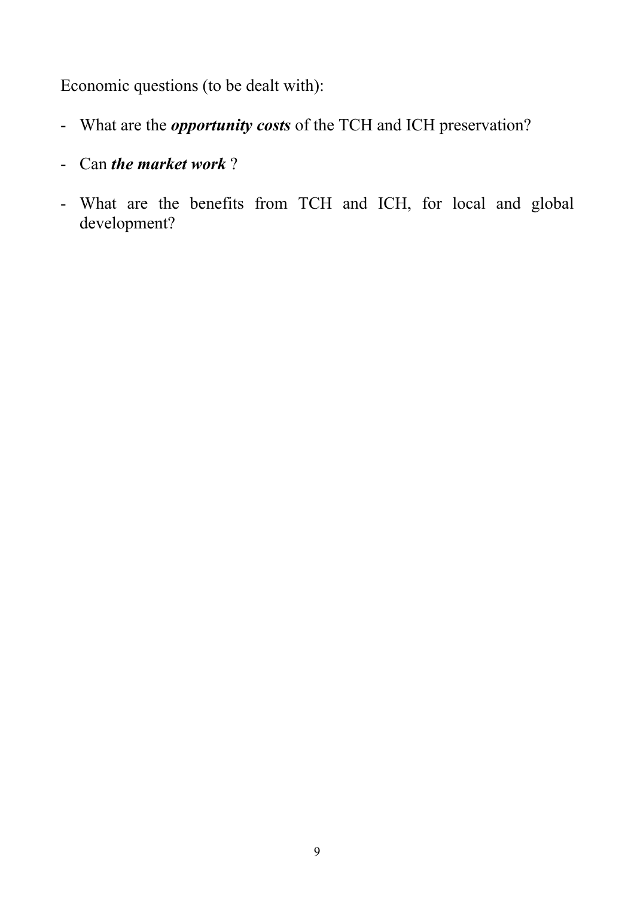Economic questions (to be dealt with):

- What are the *opportunity costs* of the TCH and ICH preservation?
- Can *the market work* ?
- What are the benefits from TCH and ICH, for local and global development?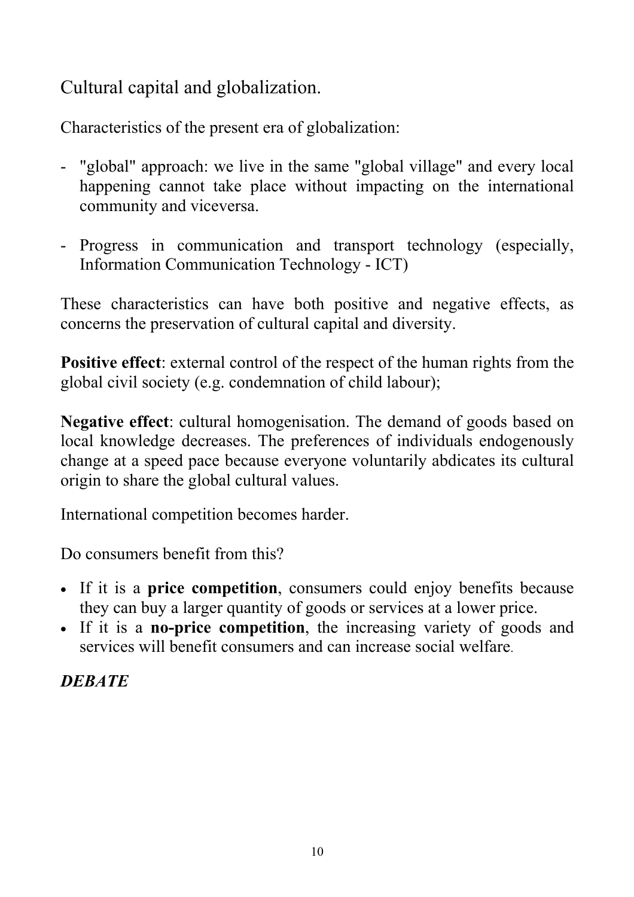Cultural capital and globalization.

Characteristics of the present era of globalization:

- "global" approach: we live in the same "global village" and every local happening cannot take place without impacting on the international community and viceversa.
- Progress in communication and transport technology (especially, Information Communication Technology - ICT)

These characteristics can have both positive and negative effects, as concerns the preservation of cultural capital and diversity.

**Positive effect**: external control of the respect of the human rights from the global civil society (e.g. condemnation of child labour);

**Negative effect**: cultural homogenisation. The demand of goods based on local knowledge decreases. The preferences of individuals endogenously change at a speed pace because everyone voluntarily abdicates its cultural origin to share the global cultural values.

International competition becomes harder.

Do consumers benefit from this?

- If it is a **price competition**, consumers could enjoy benefits because they can buy a larger quantity of goods or services at a lower price.
- If it is a **no-price competition**, the increasing variety of goods and services will benefit consumers and can increase social welfare.

*DEBATE*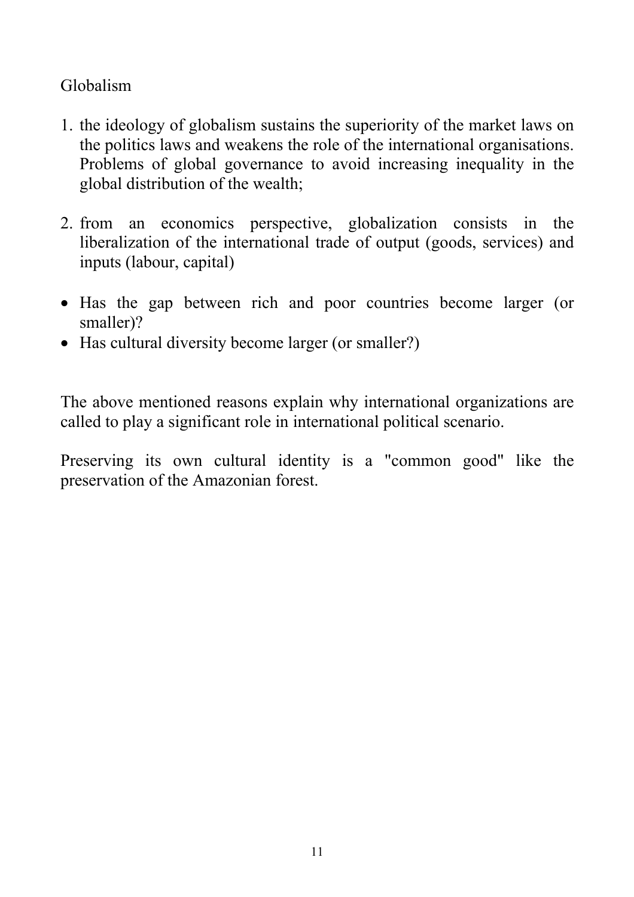### Globalism

- 1. the ideology of globalism sustains the superiority of the market laws on the politics laws and weakens the role of the international organisations. Problems of global governance to avoid increasing inequality in the global distribution of the wealth;
- 2. from an economics perspective, globalization consists in the liberalization of the international trade of output (goods, services) and inputs (labour, capital)
- Has the gap between rich and poor countries become larger (or smaller)?
- Has cultural diversity become larger (or smaller?)

The above mentioned reasons explain why international organizations are called to play a significant role in international political scenario.

Preserving its own cultural identity is a "common good" like the preservation of the Amazonian forest.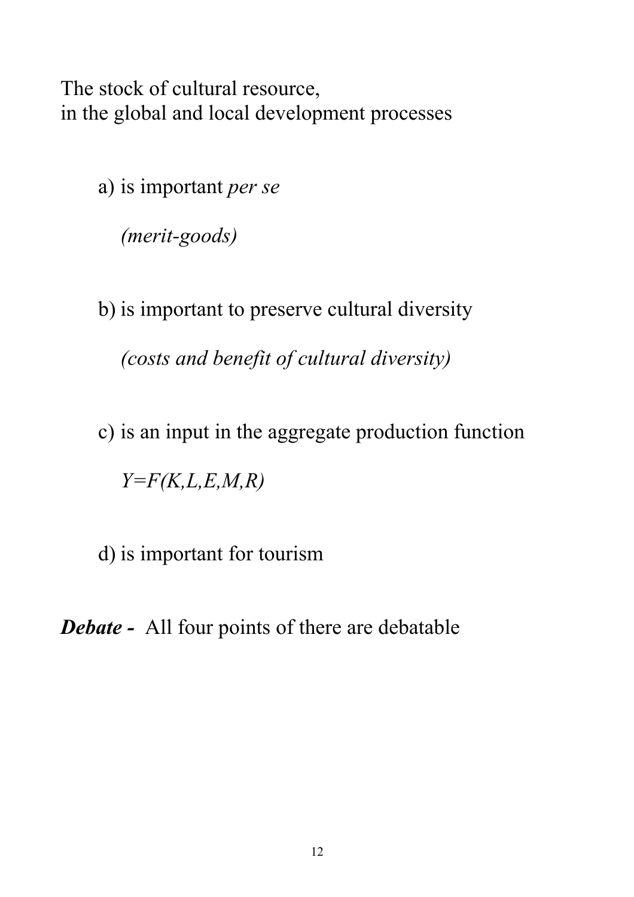The stock of cultural resource, in the global and local development processes

a) is important *per se* 

*(merit-goods)* 

b) is important to preserve cultural diversity *(costs and benefit of cultural diversity)* 

c) is an input in the aggregate production function *Y=F(K,L,E,M,R)* 

d) is important for tourism

*Debate -* All four points of there are debatable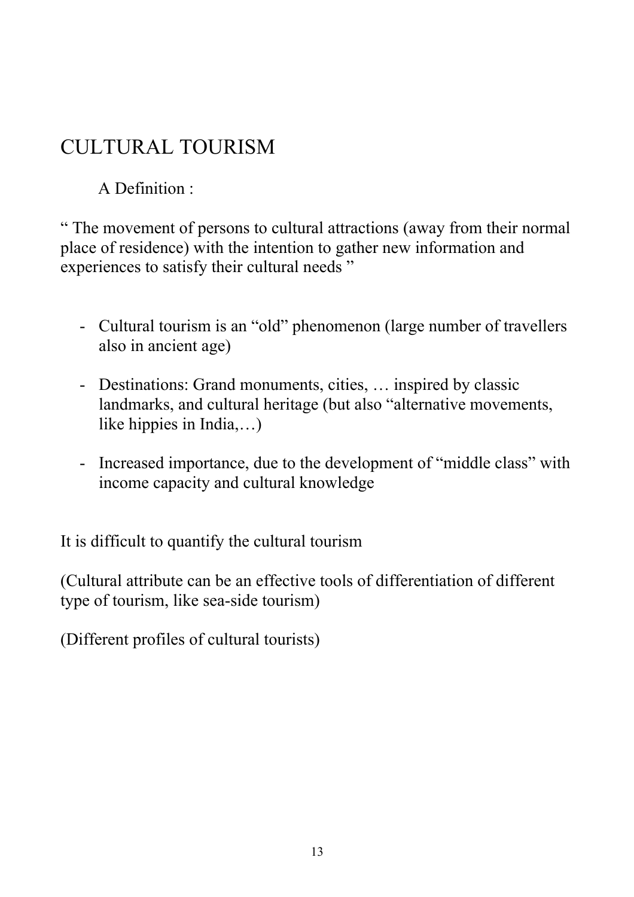# CULTURAL TOURISM

A Definition :

" The movement of persons to cultural attractions (away from their normal place of residence) with the intention to gather new information and experiences to satisfy their cultural needs "

- Cultural tourism is an "old" phenomenon (large number of travellers also in ancient age)
- Destinations: Grand monuments, cities, … inspired by classic landmarks, and cultural heritage (but also "alternative movements, like hippies in India,…)
- Increased importance, due to the development of "middle class" with income capacity and cultural knowledge

It is difficult to quantify the cultural tourism

(Cultural attribute can be an effective tools of differentiation of different type of tourism, like sea-side tourism)

(Different profiles of cultural tourists)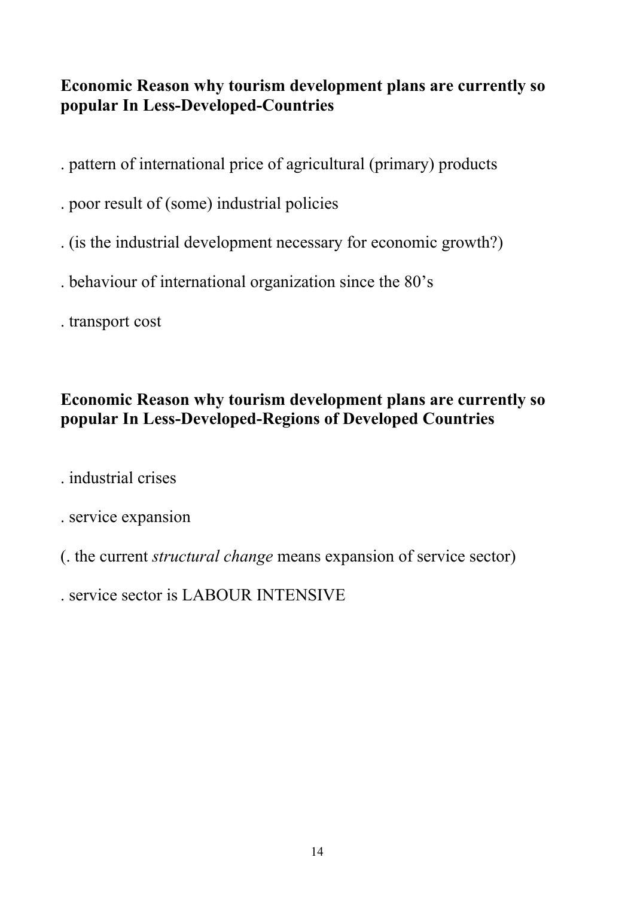### **Economic Reason why tourism development plans are currently so popular In Less-Developed-Countries**

- . pattern of international price of agricultural (primary) products
- . poor result of (some) industrial policies
- . (is the industrial development necessary for economic growth?)
- . behaviour of international organization since the 80's
- . transport cost

### **Economic Reason why tourism development plans are currently so popular In Less-Developed-Regions of Developed Countries**

. industrial crises

- . service expansion
- (. the current *structural change* means expansion of service sector)

service sector is LABOUR INTENSIVE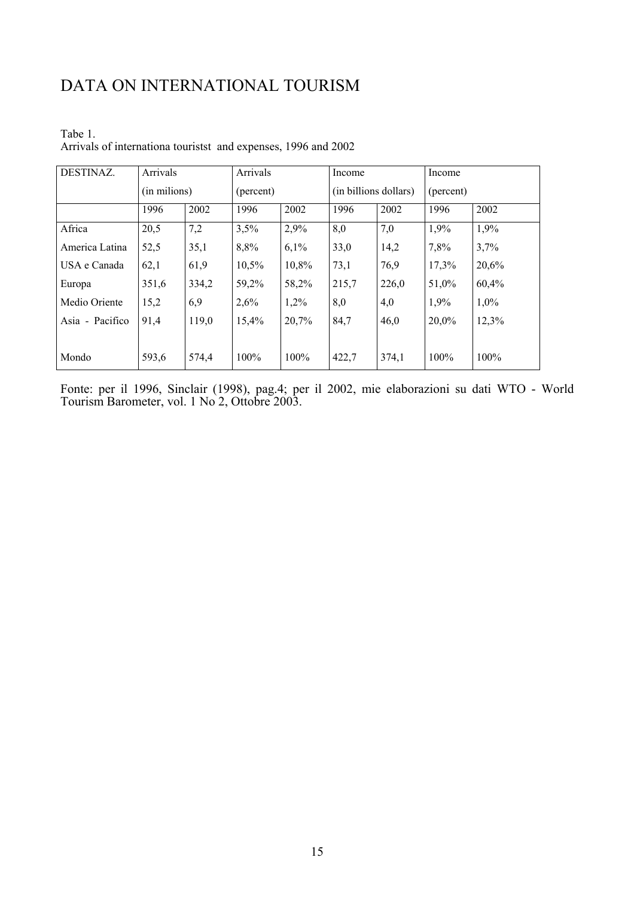### DATA ON INTERNATIONAL TOURISM

| DESTINAZ.       | Arrivals     |       | Arrivals  |       | Income                |       | Income    |       |
|-----------------|--------------|-------|-----------|-------|-----------------------|-------|-----------|-------|
|                 | (in milions) |       | (percent) |       | (in billions dollars) |       | (percent) |       |
|                 | 1996         | 2002  | 1996      | 2002  | 1996                  | 2002  | 1996      | 2002  |
| Africa          | 20,5         | 7,2   | 3,5%      | 2,9%  | 8,0                   | 7,0   | 1,9%      | 1,9%  |
| America Latina  | 52,5         | 35,1  | 8,8%      | 6,1%  | 33,0                  | 14,2  | 7,8%      | 3,7%  |
| USA e Canada    | 62,1         | 61,9  | 10,5%     | 10,8% | 73,1                  | 76,9  | 17,3%     | 20,6% |
| Europa          | 351,6        | 334,2 | 59,2%     | 58,2% | 215,7                 | 226,0 | 51,0%     | 60,4% |
| Medio Oriente   | 15,2         | 6,9   | 2,6%      | 1,2%  | 8,0                   | 4,0   | 1,9%      | 1,0%  |
| Asia - Pacifico | 91,4         | 119,0 | 15,4%     | 20,7% | 84,7                  | 46,0  | 20,0%     | 12,3% |
|                 |              |       |           |       |                       |       |           |       |
| Mondo           | 593,6        | 574,4 | 100%      | 100%  | 422,7                 | 374,1 | 100%      | 100%  |

Tabe 1. Arrivals of internationa touristst and expenses, 1996 and 2002

Fonte: per il 1996, Sinclair (1998), pag.4; per il 2002, mie elaborazioni su dati WTO - World Tourism Barometer, vol. 1 No 2, Ottobre 2003.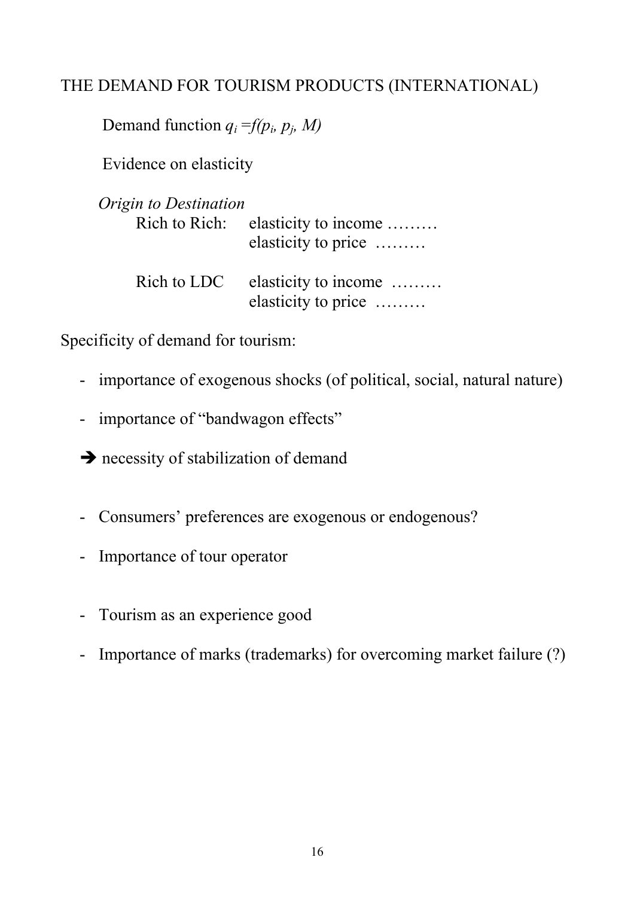### THE DEMAND FOR TOURISM PRODUCTS (INTERNATIONAL)

Demand function  $q_i = f(p_i, p_j, M)$ 

Evidence on elasticity

| Origin to Destination | Rich to Rich: elasticity to income<br>elasticity to price |
|-----------------------|-----------------------------------------------------------|
| Rich to LDC           | elasticity to income<br>elasticity to price               |

Specificity of demand for tourism:

- importance of exogenous shocks (of political, social, natural nature)
- importance of "bandwagon effects"

 $\rightarrow$  necessity of stabilization of demand

- Consumers' preferences are exogenous or endogenous?
- Importance of tour operator
- Tourism as an experience good
- Importance of marks (trademarks) for overcoming market failure (?)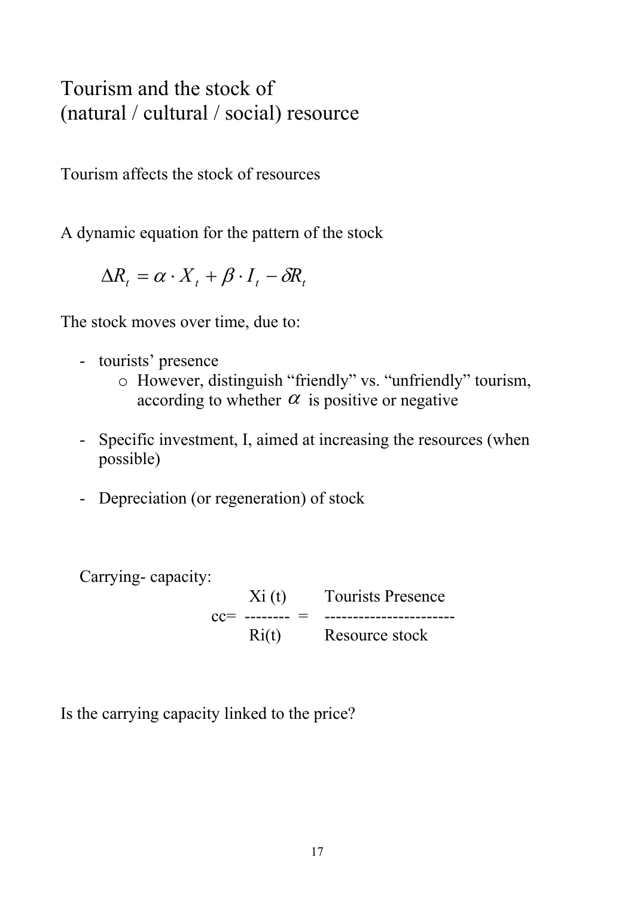# Tourism and the stock of (natural / cultural / social) resource

Tourism affects the stock of resources

A dynamic equation for the pattern of the stock

 $\Delta R_t = \alpha \cdot X_t + \beta \cdot I_t - \delta R_t$ 

The stock moves over time, due to:

- tourists' presence
	- o However, distinguish "friendly" vs. "unfriendly" tourism, according to whether  $\alpha$  is positive or negative
- Specific investment, I, aimed at increasing the resources (when possible)
- Depreciation (or regeneration) of stock

Carrying- capacity:

 Xi (t) Tourists Presence  $cc=$  -------- = ------------------------Ri(t) Resource stock

Is the carrying capacity linked to the price?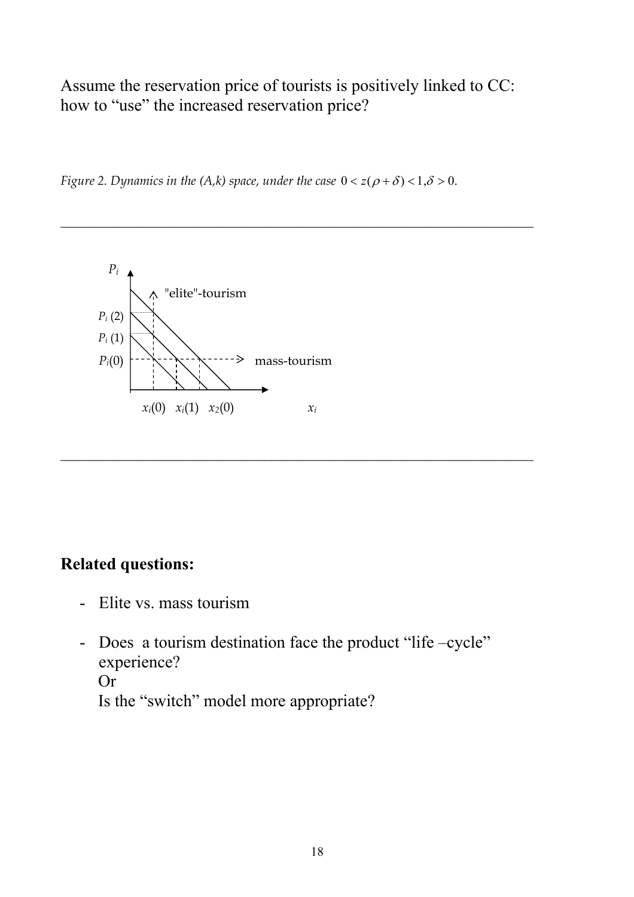Assume the reservation price of tourists is positively linked to CC: how to "use" the increased reservation price?

\_\_\_\_\_\_\_\_\_\_\_\_\_\_\_\_\_\_\_\_\_\_\_\_\_\_\_\_\_\_\_\_\_\_\_\_\_\_\_\_\_\_\_\_\_\_\_\_\_\_\_\_\_\_\_\_\_\_\_\_\_\_\_\_\_\_\_\_\_\_\_\_\_\_

\_\_\_\_\_\_\_\_\_\_\_\_\_\_\_\_\_\_\_\_\_\_\_\_\_\_\_\_\_\_\_\_\_\_\_\_\_\_\_\_\_\_\_\_\_\_\_\_\_\_\_\_\_\_\_\_\_\_\_\_\_\_\_\_\_\_\_\_\_\_\_\_\_\_

*Figure 2. Dynamics in the (A,k) space, under the case*  $0 < z(\rho + \delta) < 1, \delta > 0$ .



### **Related questions:**

- Elite vs. mass tourism
- Does a tourism destination face the product "life –cycle" experience? Or Is the "switch" model more appropriate?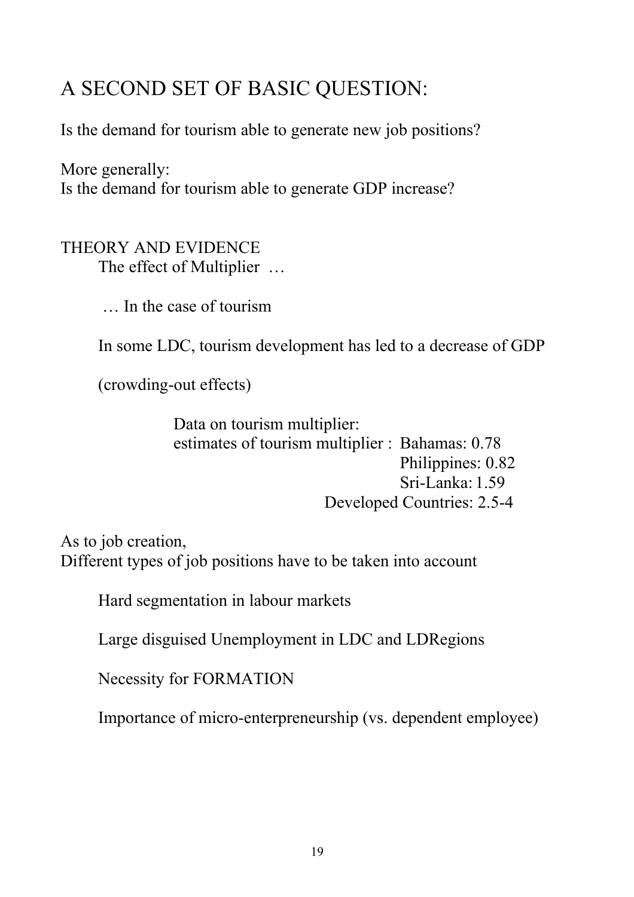# A SECOND SET OF BASIC QUESTION:

Is the demand for tourism able to generate new job positions?

More generally: Is the demand for tourism able to generate GDP increase?

#### THEORY AND EVIDENCE The effect of Multiplier …

… In the case of tourism

In some LDC, tourism development has led to a decrease of GDP

(crowding-out effects)

Data on tourism multiplier: estimates of tourism multiplier : Bahamas: 0.78 Philippines: 0.82 Sri-Lanka: 1.59 Developed Countries: 2.5-4

As to job creation, Different types of job positions have to be taken into account

Hard segmentation in labour markets

Large disguised Unemployment in LDC and LDRegions

Necessity for FORMATION

Importance of micro-enterpreneurship (vs. dependent employee)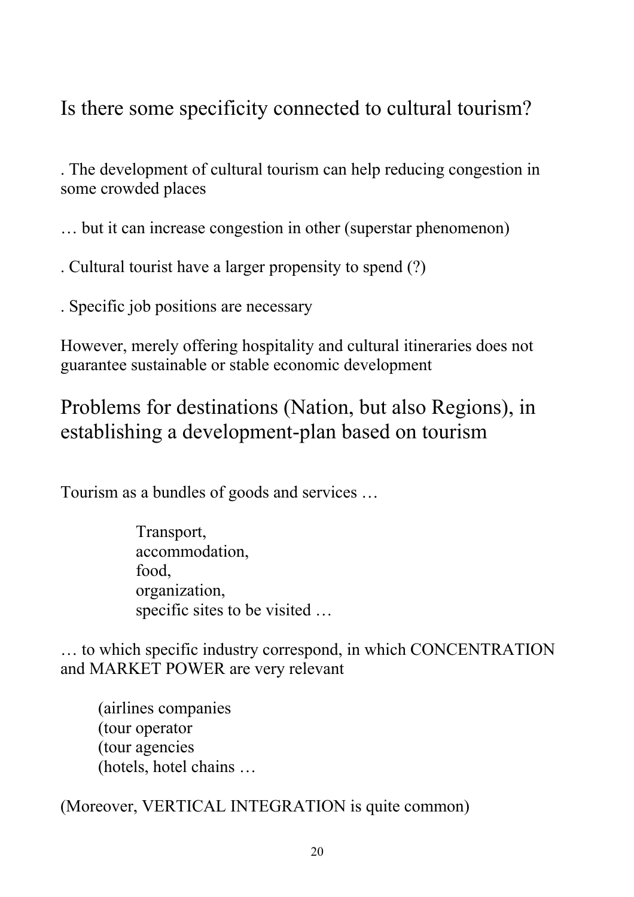# Is there some specificity connected to cultural tourism?

. The development of cultural tourism can help reducing congestion in some crowded places

… but it can increase congestion in other (superstar phenomenon)

. Cultural tourist have a larger propensity to spend (?)

. Specific job positions are necessary

However, merely offering hospitality and cultural itineraries does not guarantee sustainable or stable economic development

# Problems for destinations (Nation, but also Regions), in establishing a development-plan based on tourism

Tourism as a bundles of goods and services …

Transport, accommodation, food, organization, specific sites to be visited …

… to which specific industry correspond, in which CONCENTRATION and MARKET POWER are very relevant

 (airlines companies (tour operator (tour agencies (hotels, hotel chains …

(Moreover, VERTICAL INTEGRATION is quite common)